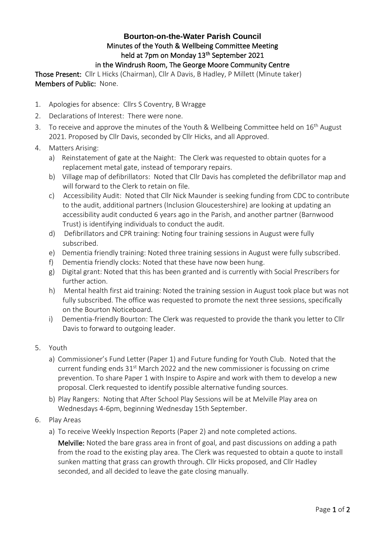## **Bourton-on-the-Water Parish Council** Minutes of the Youth & Wellbeing Committee Meeting held at 7pm on Monday 13<sup>th</sup> September 2021 in the Windrush Room, The George Moore Community Centre

Those Present: Cllr L Hicks (Chairman), Cllr A Davis, B Hadley, P Millett (Minute taker) Members of Public: None.

- 1. Apologies for absence: Cllrs S Coventry, B Wragge
- 2. Declarations of Interest: There were none.
- 3. To receive and approve the minutes of the Youth & Wellbeing Committee held on 16<sup>th</sup> August 2021. Proposed by Cllr Davis, seconded by Cllr Hicks, and all Approved.
- 4. Matters Arising:
	- a) Reinstatement of gate at the Naight: The Clerk was requested to obtain quotes for a replacement metal gate, instead of temporary repairs.
	- b) Village map of defibrillators: Noted that Cllr Davis has completed the defibrillator map and will forward to the Clerk to retain on file.
	- c) Accessibility Audit: Noted that Cllr Nick Maunder is seeking funding from CDC to contribute to the audit, additional partners (Inclusion Gloucestershire) are looking at updating an accessibility audit conducted 6 years ago in the Parish, and another partner (Barnwood Trust) is identifying individuals to conduct the audit.
	- d) Defibrillators and CPR training: Noting four training sessions in August were fully subscribed.
	- e) Dementia friendly training: Noted three training sessions in August were fully subscribed.
	- f) Dementia friendly clocks: Noted that these have now been hung.
	- g) Digital grant: Noted that this has been granted and is currently with Social Prescribers for further action.
	- h) Mental health first aid training: Noted the training session in August took place but was not fully subscribed. The office was requested to promote the next three sessions, specifically on the Bourton Noticeboard.
	- i) Dementia-friendly Bourton: The Clerk was requested to provide the thank you letter to Cllr Davis to forward to outgoing leader.
- 5. Youth
	- a) Commissioner's Fund Letter (Paper 1) and Future funding for Youth Club. Noted that the current funding ends  $31<sup>st</sup>$  March 2022 and the new commissioner is focussing on crime prevention. To share Paper 1 with Inspire to Aspire and work with them to develop a new proposal. Clerk requested to identify possible alternative funding sources.
	- b) Play Rangers: Noting that After School Play Sessions will be at Melville Play area on Wednesdays 4-6pm, beginning Wednesday 15th September.
- 6. Play Areas
	- a) To receive Weekly Inspection Reports (Paper 2) and note completed actions.

Melville: Noted the bare grass area in front of goal, and past discussions on adding a path from the road to the existing play area. The Clerk was requested to obtain a quote to install sunken matting that grass can growth through. Cllr Hicks proposed, and Cllr Hadley seconded, and all decided to leave the gate closing manually.